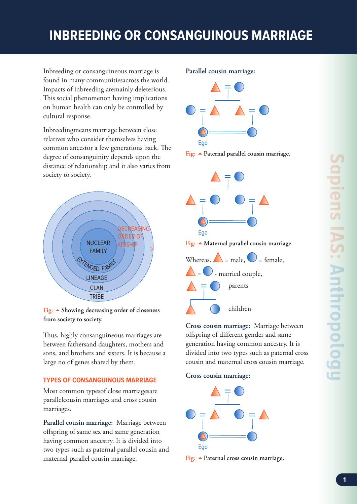## **INBREEDING OR CONSANGUINOUS MARRIAGE**

Inbreeding or consanguineous marriage is found in many communitiesacross the world. Impacts of inbreeding aremainly deleterious. This social phenomenon having implications on human health can only be controlled by cultural response.

Inbreedingmeans marriage between close relatives who consider themselves having common ancestor a few generations back. The degree of consanguinity depends upon the distance of relationship and it also varies from society to society.



**Fig: Showing decreasing order of closeness from society to society.**

Thus, highly consanguineous marriages are between fathersand daughters, mothers and sons, and brothers and sisters. It is because a large no of genes shared by them.

## **TYPES OF CONSANGUINOUS MARRIAGE**

Most common typesof close marriagesare parallelcousin marriages and cross cousin marriages.

**Parallel cousin marriage:** Marriage between offspring of same sex and same generation having common ancestry. It is divided into two types such as paternal parallel cousin and maternal parallel cousin marriage.

## **Parallel cousin marriage:**







**Cross cousin marriage:** Marriage between offspring of different gender and same generation having common ancestry. It is divided into two types such as paternal cross cousin and maternal cross cousin marriage.

## **Cross cousin marriage:**